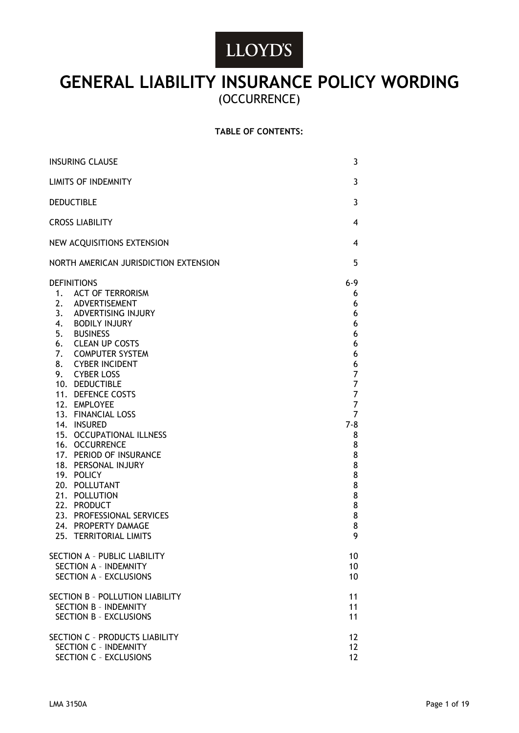# LLOYD'S

## **GENERAL LIABILITY INSURANCE POLICY WORDING** (OCCURRENCE)

## **TABLE OF CONTENTS:**

| <b>INSURING CLAUSE</b>                                                                                                                                                                                                                                                                                                                                                                                                                                                                                                                                                            |                                                                                                                                            |
|-----------------------------------------------------------------------------------------------------------------------------------------------------------------------------------------------------------------------------------------------------------------------------------------------------------------------------------------------------------------------------------------------------------------------------------------------------------------------------------------------------------------------------------------------------------------------------------|--------------------------------------------------------------------------------------------------------------------------------------------|
| <b>LIMITS OF INDEMNITY</b>                                                                                                                                                                                                                                                                                                                                                                                                                                                                                                                                                        |                                                                                                                                            |
| <b>DEDUCTIBLE</b>                                                                                                                                                                                                                                                                                                                                                                                                                                                                                                                                                                 |                                                                                                                                            |
| <b>CROSS LIABILITY</b>                                                                                                                                                                                                                                                                                                                                                                                                                                                                                                                                                            |                                                                                                                                            |
| NEW ACQUISITIONS EXTENSION                                                                                                                                                                                                                                                                                                                                                                                                                                                                                                                                                        |                                                                                                                                            |
| NORTH AMERICAN JURISDICTION EXTENSION                                                                                                                                                                                                                                                                                                                                                                                                                                                                                                                                             | 5                                                                                                                                          |
| <b>DEFINITIONS</b><br><b>ACT OF TERRORISM</b><br>1.<br>2. ADVERTISEMENT<br>3. ADVERTISING INJURY<br>4. BODILY INJURY<br>5. BUSINESS<br><b>CLEAN UP COSTS</b><br>6.<br>7.<br><b>COMPUTER SYSTEM</b><br>8. CYBER INCIDENT<br>9. CYBER LOSS<br>10. DEDUCTIBLE<br>11. DEFENCE COSTS<br>12. EMPLOYEE<br>13. FINANCIAL LOSS<br>14. INSURED<br>15. OCCUPATIONAL ILLNESS<br>16. OCCURRENCE<br>17. PERIOD OF INSURANCE<br>18. PERSONAL INJURY<br>19. POLICY<br>20. POLLUTANT<br>21. POLLUTION<br>22. PRODUCT<br>23. PROFESSIONAL SERVICES<br>24. PROPERTY DAMAGE<br>25. TERRITORIAL LIMITS | $6 - 9$<br>6<br>6<br>6<br>6<br>6<br>6<br>6<br>6<br>7<br>7<br>7<br>7<br>7<br>$7 - 8$<br>8<br>8<br>8<br>8<br>8<br>8<br>8<br>8<br>8<br>8<br>9 |
| SECTION A - PUBLIC LIABILITY<br><b>SECTION A - INDEMNITY</b><br>SECTION A - EXCLUSIONS                                                                                                                                                                                                                                                                                                                                                                                                                                                                                            | 10<br>10<br>10                                                                                                                             |
| SECTION B - POLLUTION LIABILITY<br><b>SECTION B - INDEMNITY</b><br><b>SECTION B - EXCLUSIONS</b>                                                                                                                                                                                                                                                                                                                                                                                                                                                                                  |                                                                                                                                            |
| SECTION C - PRODUCTS LIABILITY<br><b>SECTION C - INDEMNITY</b><br>SECTION C - EXCLUSIONS                                                                                                                                                                                                                                                                                                                                                                                                                                                                                          | 12<br>12<br>12                                                                                                                             |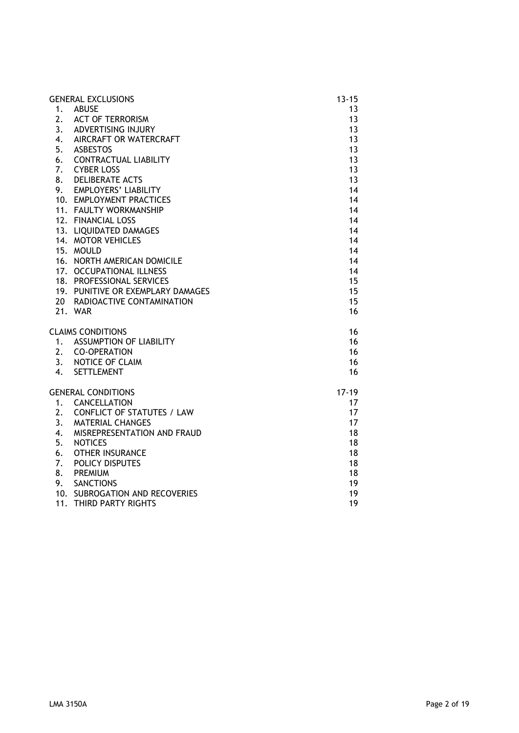|     | <b>GENERAL EXCLUSIONS</b>         | $13 - 15$ |
|-----|-----------------------------------|-----------|
| 1.  | <b>ABUSE</b>                      | 13        |
| 2.  | <b>ACT OF TERRORISM</b>           | 13        |
|     | 3. ADVERTISING INJURY             | 13        |
|     | 4. AIRCRAFT OR WATERCRAFT         | 13        |
|     | 5. ASBESTOS                       | 13        |
| 6.  | <b>CONTRACTUAL LIABILITY</b>      | 13        |
| 7.  | <b>CYBER LOSS</b>                 | 13        |
| 8.  | <b>DELIBERATE ACTS</b>            | 13        |
|     | 9. EMPLOYERS' LIABILITY           | 14        |
|     | 10. EMPLOYMENT PRACTICES          | 14        |
|     | 11. FAULTY WORKMANSHIP            | 14        |
|     | 12. FINANCIAL LOSS                | 14        |
|     | 13. LIQUIDATED DAMAGES            | 14        |
|     | 14. MOTOR VEHICLES                | 14        |
|     | 15. MOULD                         | 14        |
|     | 16. NORTH AMERICAN DOMICILE       | 14        |
|     | 17. OCCUPATIONAL ILLNESS          | 14        |
|     | 18. PROFESSIONAL SERVICES         | 15        |
|     | 19. PUNITIVE OR EXEMPLARY DAMAGES | 15        |
|     | 20 RADIOACTIVE CONTAMINATION      | 15        |
|     | 21. WAR                           | 16        |
|     |                                   |           |
|     | <b>CLAIMS CONDITIONS</b>          | 16        |
|     | 1. ASSUMPTION OF LIABILITY        | 16        |
|     | 2. CO-OPERATION                   | 16        |
|     | 3. NOTICE OF CLAIM                | 16        |
| 4.  | <b>SETTLEMENT</b>                 | 16        |
|     |                                   |           |
|     | <b>GENERAL CONDITIONS</b>         | $17 - 19$ |
|     | 1. CANCELLATION                   | 17        |
| 2.  | <b>CONFLICT OF STATUTES / LAW</b> | 17        |
| 3.  | <b>MATERIAL CHANGES</b>           | 17        |
| 4.  | MISREPRESENTATION AND FRAUD       | 18        |
| 5.  | <b>NOTICES</b>                    | 18        |
| 6.  | <b>OTHER INSURANCE</b>            | 18        |
| 7.  | <b>POLICY DISPUTES</b>            | 18        |
| 8.  | <b>PREMIUM</b>                    | 18        |
| 9.  | <b>SANCTIONS</b>                  | 19        |
|     | 10. SUBROGATION AND RECOVERIES    | 19        |
| 11. | THIRD PARTY RIGHTS                | 19        |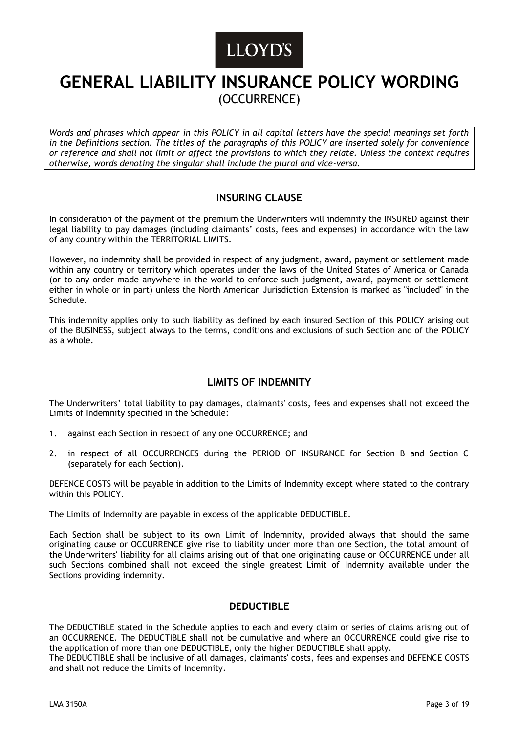# LLOYD'S

## **GENERAL LIABILITY INSURANCE POLICY WORDING** (OCCURRENCE)

*Words and phrases which appear in this POLICY in all capital letters have the special meanings set forth in the Definitions section. The titles of the paragraphs of this POLICY are inserted solely for convenience or reference and shall not limit or affect the provisions to which they relate. Unless the context requires otherwise, words denoting the singular shall include the plural and vice-versa.*

## **INSURING CLAUSE**

In consideration of the payment of the premium the Underwriters will indemnify the INSURED against their legal liability to pay damages (including claimants' costs, fees and expenses) in accordance with the law of any country within the TERRITORIAL LIMITS.

However, no indemnity shall be provided in respect of any judgment, award, payment or settlement made within any country or territory which operates under the laws of the United States of America or Canada (or to any order made anywhere in the world to enforce such judgment, award, payment or settlement either in whole or in part) unless the North American Jurisdiction Extension is marked as "included" in the Schedule.

This indemnity applies only to such liability as defined by each insured Section of this POLICY arising out of the BUSINESS, subject always to the terms, conditions and exclusions of such Section and of the POLICY as a whole.

## **LIMITS OF INDEMNITY**

The Underwriters' total liability to pay damages, claimants' costs, fees and expenses shall not exceed the Limits of Indemnity specified in the Schedule:

- 1. against each Section in respect of any one OCCURRENCE; and
- 2. in respect of all OCCURRENCES during the PERIOD OF INSURANCE for Section B and Section C (separately for each Section).

DEFENCE COSTS will be payable in addition to the Limits of Indemnity except where stated to the contrary within this POLICY.

The Limits of Indemnity are payable in excess of the applicable DEDUCTIBLE.

Each Section shall be subject to its own Limit of Indemnity, provided always that should the same originating cause or OCCURRENCE give rise to liability under more than one Section, the total amount of the Underwriters' liability for all claims arising out of that one originating cause or OCCURRENCE under all such Sections combined shall not exceed the single greatest Limit of Indemnity available under the Sections providing indemnity.

## **DEDUCTIBLE**

The DEDUCTIBLE stated in the Schedule applies to each and every claim or series of claims arising out of an OCCURRENCE. The DEDUCTIBLE shall not be cumulative and where an OCCURRENCE could give rise to the application of more than one DEDUCTIBLE, only the higher DEDUCTIBLE shall apply.

The DEDUCTIBLE shall be inclusive of all damages, claimants' costs, fees and expenses and DEFENCE COSTS and shall not reduce the Limits of Indemnity.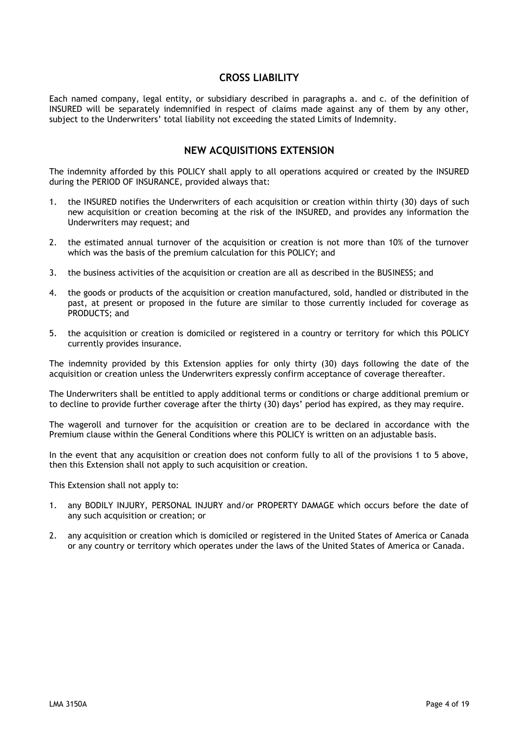## **CROSS LIABILITY**

Each named company, legal entity, or subsidiary described in paragraphs a. and c. of the definition of INSURED will be separately indemnified in respect of claims made against any of them by any other, subject to the Underwriters' total liability not exceeding the stated Limits of Indemnity.

### **NEW ACQUISITIONS EXTENSION**

The indemnity afforded by this POLICY shall apply to all operations acquired or created by the INSURED during the PERIOD OF INSURANCE, provided always that:

- 1. the INSURED notifies the Underwriters of each acquisition or creation within thirty (30) days of such new acquisition or creation becoming at the risk of the INSURED, and provides any information the Underwriters may request; and
- 2. the estimated annual turnover of the acquisition or creation is not more than 10% of the turnover which was the basis of the premium calculation for this POLICY; and
- 3. the business activities of the acquisition or creation are all as described in the BUSINESS; and
- 4. the goods or products of the acquisition or creation manufactured, sold, handled or distributed in the past, at present or proposed in the future are similar to those currently included for coverage as PRODUCTS; and
- 5. the acquisition or creation is domiciled or registered in a country or territory for which this POLICY currently provides insurance.

The indemnity provided by this Extension applies for only thirty (30) days following the date of the acquisition or creation unless the Underwriters expressly confirm acceptance of coverage thereafter.

The Underwriters shall be entitled to apply additional terms or conditions or charge additional premium or to decline to provide further coverage after the thirty (30) days' period has expired, as they may require.

The wageroll and turnover for the acquisition or creation are to be declared in accordance with the Premium clause within the General Conditions where this POLICY is written on an adjustable basis.

In the event that any acquisition or creation does not conform fully to all of the provisions 1 to 5 above, then this Extension shall not apply to such acquisition or creation.

This Extension shall not apply to:

- 1. any BODILY INJURY, PERSONAL INJURY and/or PROPERTY DAMAGE which occurs before the date of any such acquisition or creation; or
- 2. any acquisition or creation which is domiciled or registered in the United States of America or Canada or any country or territory which operates under the laws of the United States of America or Canada.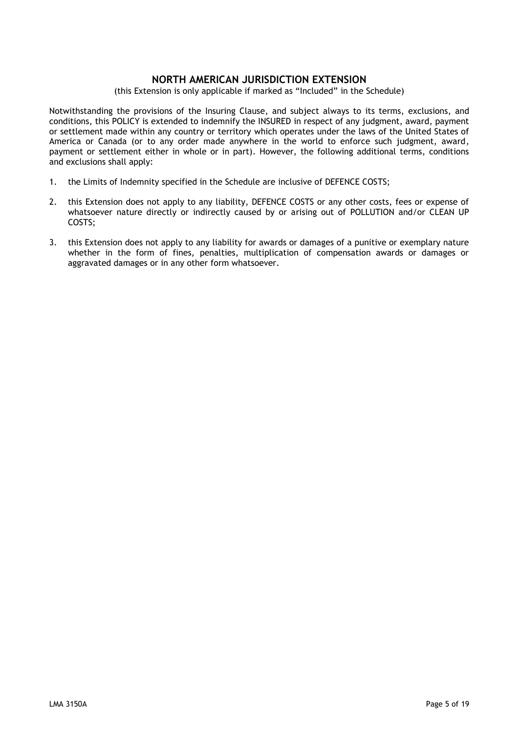## **NORTH AMERICAN JURISDICTION EXTENSION**

(this Extension is only applicable if marked as "Included" in the Schedule)

Notwithstanding the provisions of the Insuring Clause, and subject always to its terms, exclusions, and conditions, this POLICY is extended to indemnify the INSURED in respect of any judgment, award, payment or settlement made within any country or territory which operates under the laws of the United States of America or Canada (or to any order made anywhere in the world to enforce such judgment, award, payment or settlement either in whole or in part). However, the following additional terms, conditions and exclusions shall apply:

- 1. the Limits of Indemnity specified in the Schedule are inclusive of DEFENCE COSTS;
- 2. this Extension does not apply to any liability, DEFENCE COSTS or any other costs, fees or expense of whatsoever nature directly or indirectly caused by or arising out of POLLUTION and/or CLEAN UP COSTS;
- 3. this Extension does not apply to any liability for awards or damages of a punitive or exemplary nature whether in the form of fines, penalties, multiplication of compensation awards or damages or aggravated damages or in any other form whatsoever.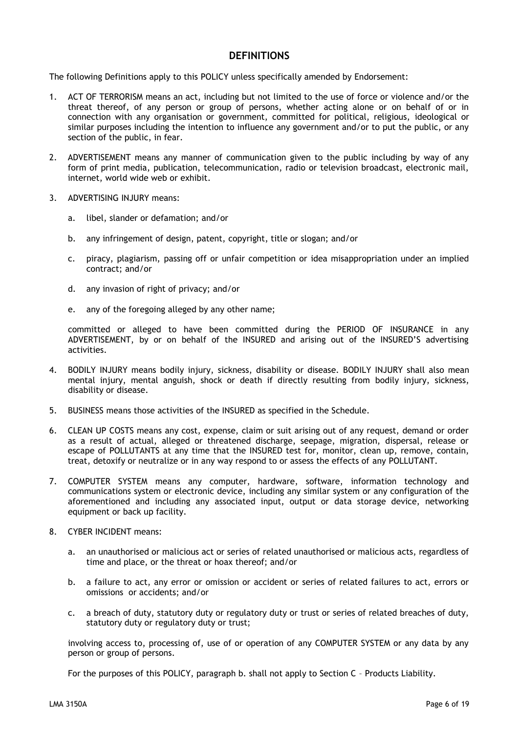## **DEFINITIONS**

The following Definitions apply to this POLICY unless specifically amended by Endorsement:

- 1. ACT OF TERRORISM means an act, including but not limited to the use of force or violence and/or the threat thereof, of any person or group of persons, whether acting alone or on behalf of or in connection with any organisation or government, committed for political, religious, ideological or similar purposes including the intention to influence any government and/or to put the public, or any section of the public, in fear.
- 2. ADVERTISEMENT means any manner of communication given to the public including by way of any form of print media, publication, telecommunication, radio or television broadcast, electronic mail, internet, world wide web or exhibit.
- 3. ADVERTISING INJURY means:
	- a. libel, slander or defamation; and/or
	- b. any infringement of design, patent, copyright, title or slogan; and/or
	- c. piracy, plagiarism, passing off or unfair competition or idea misappropriation under an implied contract; and/or
	- d. any invasion of right of privacy; and/or
	- e. any of the foregoing alleged by any other name;

committed or alleged to have been committed during the PERIOD OF INSURANCE in any ADVERTISEMENT, by or on behalf of the INSURED and arising out of the INSURED'S advertising activities.

- 4. BODILY INJURY means bodily injury, sickness, disability or disease. BODILY INJURY shall also mean mental injury, mental anguish, shock or death if directly resulting from bodily injury, sickness, disability or disease.
- 5. BUSINESS means those activities of the INSURED as specified in the Schedule.
- 6. CLEAN UP COSTS means any cost, expense, claim or suit arising out of any request, demand or order as a result of actual, alleged or threatened discharge, seepage, migration, dispersal, release or escape of POLLUTANTS at any time that the INSURED test for, monitor, clean up, remove, contain, treat, detoxify or neutralize or in any way respond to or assess the effects of any POLLUTANT.
- 7. COMPUTER SYSTEM means any computer, hardware, software, information technology and communications system or electronic device, including any similar system or any configuration of the aforementioned and including any associated input, output or data storage device, networking equipment or back up facility.
- 8. CYBER INCIDENT means:
	- a. an unauthorised or malicious act or series of related unauthorised or malicious acts, regardless of time and place, or the threat or hoax thereof; and/or
	- b. a failure to act, any error or omission or accident or series of related failures to act, errors or omissions or accidents; and/or
	- c. a breach of duty, statutory duty or regulatory duty or trust or series of related breaches of duty, statutory duty or regulatory duty or trust;

involving access to, processing of, use of or operation of any COMPUTER SYSTEM or any data by any person or group of persons.

For the purposes of this POLICY, paragraph b. shall not apply to Section C – Products Liability.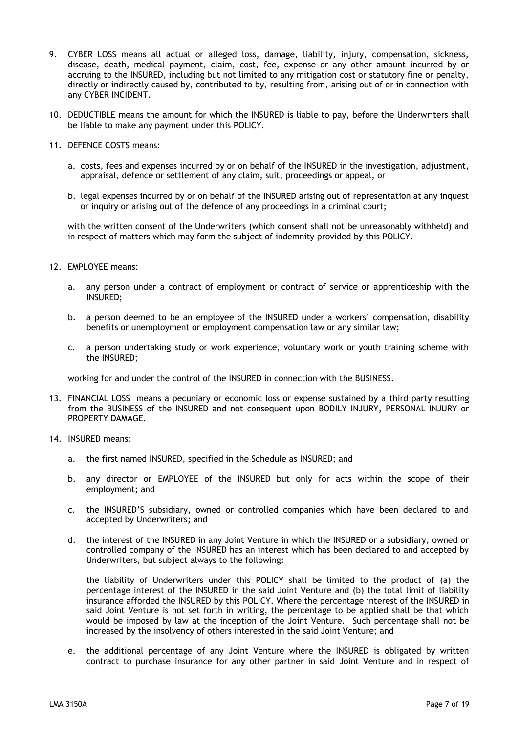- 9. CYBER LOSS means all actual or alleged loss, damage, liability, injury, compensation, sickness, disease, death, medical payment, claim, cost, fee, expense or any other amount incurred by or accruing to the INSURED, including but not limited to any mitigation cost or statutory fine or penalty, directly or indirectly caused by, contributed to by, resulting from, arising out of or in connection with any CYBER INCIDENT.
- 10. DEDUCTIBLE means the amount for which the INSURED is liable to pay, before the Underwriters shall be liable to make any payment under this POLICY.
- 11. DEFENCE COSTS means:
	- a. costs, fees and expenses incurred by or on behalf of the INSURED in the investigation, adjustment, appraisal, defence or settlement of any claim, suit, proceedings or appeal, or
	- b. legal expenses incurred by or on behalf of the INSURED arising out of representation at any inquest or inquiry or arising out of the defence of any proceedings in a criminal court;

with the written consent of the Underwriters (which consent shall not be unreasonably withheld) and in respect of matters which may form the subject of indemnity provided by this POLICY.

- 12. EMPLOYEE means:
	- a. any person under a contract of employment or contract of service or apprenticeship with the INSURED;
	- b. a person deemed to be an employee of the INSURED under a workers' compensation, disability benefits or unemployment or employment compensation law or any similar law;
	- c. a person undertaking study or work experience, voluntary work or youth training scheme with the INSURED;

working for and under the control of the INSURED in connection with the BUSINESS.

- 13. FINANCIAL LOSS means a pecuniary or economic loss or expense sustained by a third party resulting from the BUSINESS of the INSURED and not consequent upon BODILY INJURY, PERSONAL INJURY or PROPERTY DAMAGE.
- 14. INSURED means:
	- a. the first named INSURED, specified in the Schedule as INSURED; and
	- b. any director or EMPLOYEE of the INSURED but only for acts within the scope of their employment; and
	- c. the INSURED'S subsidiary, owned or controlled companies which have been declared to and accepted by Underwriters; and
	- d. the interest of the INSURED in any Joint Venture in which the INSURED or a subsidiary, owned or controlled company of the INSURED has an interest which has been declared to and accepted by Underwriters, but subject always to the following:

the liability of Underwriters under this POLICY shall be limited to the product of (a) the percentage interest of the INSURED in the said Joint Venture and (b) the total limit of liability insurance afforded the INSURED by this POLICY. Where the percentage interest of the INSURED in said Joint Venture is not set forth in writing, the percentage to be applied shall be that which would be imposed by law at the inception of the Joint Venture. Such percentage shall not be increased by the insolvency of others interested in the said Joint Venture; and

e. the additional percentage of any Joint Venture where the INSURED is obligated by written contract to purchase insurance for any other partner in said Joint Venture and in respect of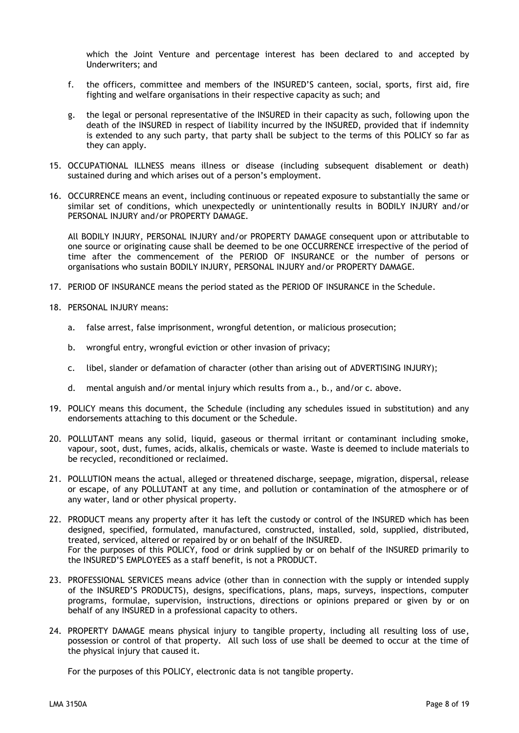which the Joint Venture and percentage interest has been declared to and accepted by Underwriters; and

- f. the officers, committee and members of the INSURED'S canteen, social, sports, first aid, fire fighting and welfare organisations in their respective capacity as such; and
- g. the legal or personal representative of the INSURED in their capacity as such, following upon the death of the INSURED in respect of liability incurred by the INSURED, provided that if indemnity is extended to any such party, that party shall be subject to the terms of this POLICY so far as they can apply.
- 15. OCCUPATIONAL ILLNESS means illness or disease (including subsequent disablement or death) sustained during and which arises out of a person's employment.
- 16. OCCURRENCE means an event, including continuous or repeated exposure to substantially the same or similar set of conditions, which unexpectedly or unintentionally results in BODILY INJURY and/or PERSONAL INJURY and/or PROPERTY DAMAGE.

All BODILY INJURY, PERSONAL INJURY and/or PROPERTY DAMAGE consequent upon or attributable to one source or originating cause shall be deemed to be one OCCURRENCE irrespective of the period of time after the commencement of the PERIOD OF INSURANCE or the number of persons or organisations who sustain BODILY INJURY, PERSONAL INJURY and/or PROPERTY DAMAGE.

- 17. PERIOD OF INSURANCE means the period stated as the PERIOD OF INSURANCE in the Schedule.
- 18. PERSONAL INJURY means:
	- a. false arrest, false imprisonment, wrongful detention, or malicious prosecution;
	- b. wrongful entry, wrongful eviction or other invasion of privacy;
	- c. libel, slander or defamation of character (other than arising out of ADVERTISING INJURY);
	- d. mental anguish and/or mental injury which results from a., b., and/or c. above.
- 19. POLICY means this document, the Schedule (including any schedules issued in substitution) and any endorsements attaching to this document or the Schedule.
- 20. POLLUTANT means any solid, liquid, gaseous or thermal irritant or contaminant including smoke, vapour, soot, dust, fumes, acids, alkalis, chemicals or waste. Waste is deemed to include materials to be recycled, reconditioned or reclaimed.
- 21. POLLUTION means the actual, alleged or threatened discharge, seepage, migration, dispersal, release or escape, of any POLLUTANT at any time, and pollution or contamination of the atmosphere or of any water, land or other physical property.
- 22. PRODUCT means any property after it has left the custody or control of the INSURED which has been designed, specified, formulated, manufactured, constructed, installed, sold, supplied, distributed, treated, serviced, altered or repaired by or on behalf of the INSURED. For the purposes of this POLICY, food or drink supplied by or on behalf of the INSURED primarily to the INSURED'S EMPLOYEES as a staff benefit, is not a PRODUCT.
- 23. PROFESSIONAL SERVICES means advice (other than in connection with the supply or intended supply of the INSURED'S PRODUCTS), designs, specifications, plans, maps, surveys, inspections, computer programs, formulae, supervision, instructions, directions or opinions prepared or given by or on behalf of any INSURED in a professional capacity to others.
- 24. PROPERTY DAMAGE means physical injury to tangible property, including all resulting loss of use, possession or control of that property. All such loss of use shall be deemed to occur at the time of the physical injury that caused it.

For the purposes of this POLICY, electronic data is not tangible property.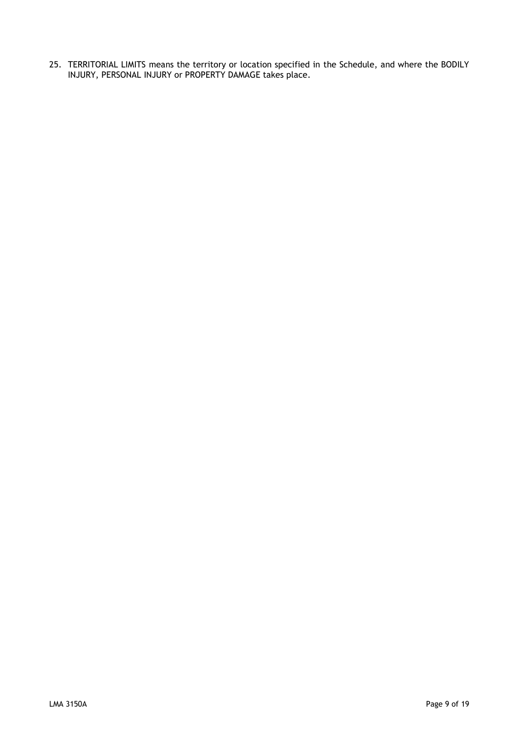25. TERRITORIAL LIMITS means the territory or location specified in the Schedule, and where the BODILY INJURY, PERSONAL INJURY or PROPERTY DAMAGE takes place.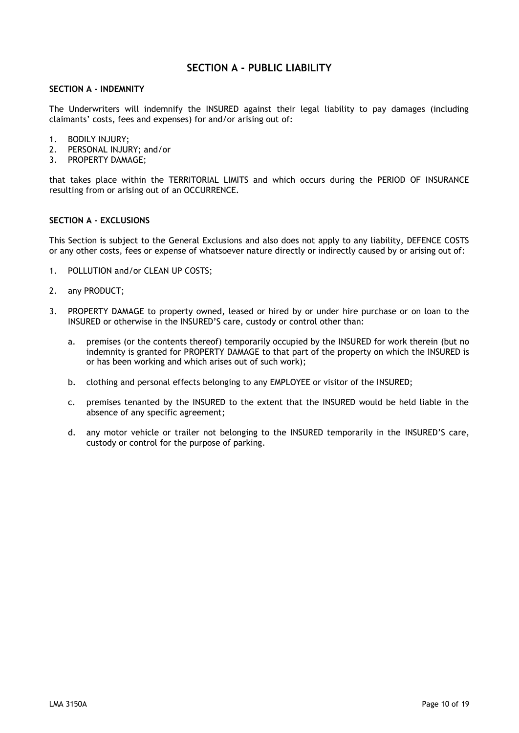## **SECTION A - PUBLIC LIABILITY**

#### **SECTION A - INDEMNITY**

The Underwriters will indemnify the INSURED against their legal liability to pay damages (including claimants' costs, fees and expenses) for and/or arising out of:

- 1. BODILY INJURY;
- 2. PERSONAL INJURY; and/or
- 3. PROPERTY DAMAGE;

that takes place within the TERRITORIAL LIMITS and which occurs during the PERIOD OF INSURANCE resulting from or arising out of an OCCURRENCE.

#### **SECTION A - EXCLUSIONS**

This Section is subject to the General Exclusions and also does not apply to any liability, DEFENCE COSTS or any other costs, fees or expense of whatsoever nature directly or indirectly caused by or arising out of:

- 1. POLLUTION and/or CLEAN UP COSTS;
- 2. any PRODUCT;
- 3. PROPERTY DAMAGE to property owned, leased or hired by or under hire purchase or on loan to the INSURED or otherwise in the INSURED'S care, custody or control other than:
	- a. premises (or the contents thereof) temporarily occupied by the INSURED for work therein (but no indemnity is granted for PROPERTY DAMAGE to that part of the property on which the INSURED is or has been working and which arises out of such work);
	- b. clothing and personal effects belonging to any EMPLOYEE or visitor of the INSURED;
	- c. premises tenanted by the INSURED to the extent that the INSURED would be held liable in the absence of any specific agreement;
	- d. any motor vehicle or trailer not belonging to the INSURED temporarily in the INSURED'S care, custody or control for the purpose of parking.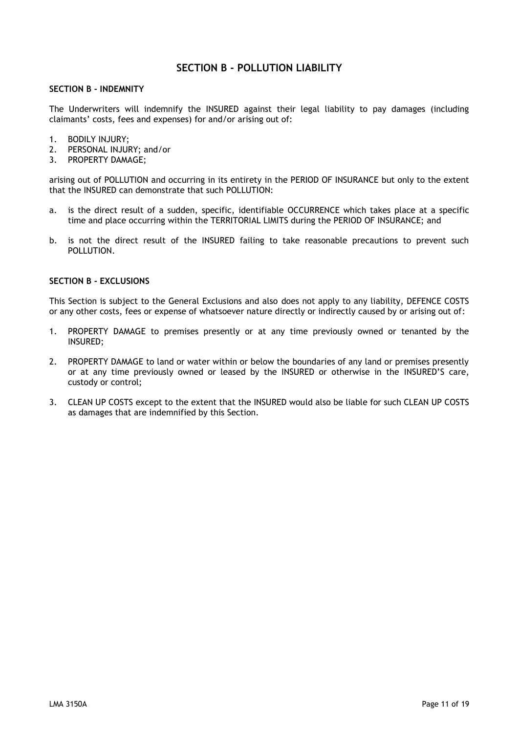## **SECTION B - POLLUTION LIABILITY**

#### **SECTION B - INDEMNITY**

The Underwriters will indemnify the INSURED against their legal liability to pay damages (including claimants' costs, fees and expenses) for and/or arising out of:

- 1. BODILY INJURY;
- 2. PERSONAL INJURY; and/or
- 3. PROPERTY DAMAGE;

arising out of POLLUTION and occurring in its entirety in the PERIOD OF INSURANCE but only to the extent that the INSURED can demonstrate that such POLLUTION:

- a. is the direct result of a sudden, specific, identifiable OCCURRENCE which takes place at a specific time and place occurring within the TERRITORIAL LIMITS during the PERIOD OF INSURANCE; and
- b. is not the direct result of the INSURED failing to take reasonable precautions to prevent such POLLUTION.

#### **SECTION B - EXCLUSIONS**

This Section is subject to the General Exclusions and also does not apply to any liability, DEFENCE COSTS or any other costs, fees or expense of whatsoever nature directly or indirectly caused by or arising out of:

- 1. PROPERTY DAMAGE to premises presently or at any time previously owned or tenanted by the INSURED;
- 2. PROPERTY DAMAGE to land or water within or below the boundaries of any land or premises presently or at any time previously owned or leased by the INSURED or otherwise in the INSURED'S care, custody or control;
- 3. CLEAN UP COSTS except to the extent that the INSURED would also be liable for such CLEAN UP COSTS as damages that are indemnified by this Section.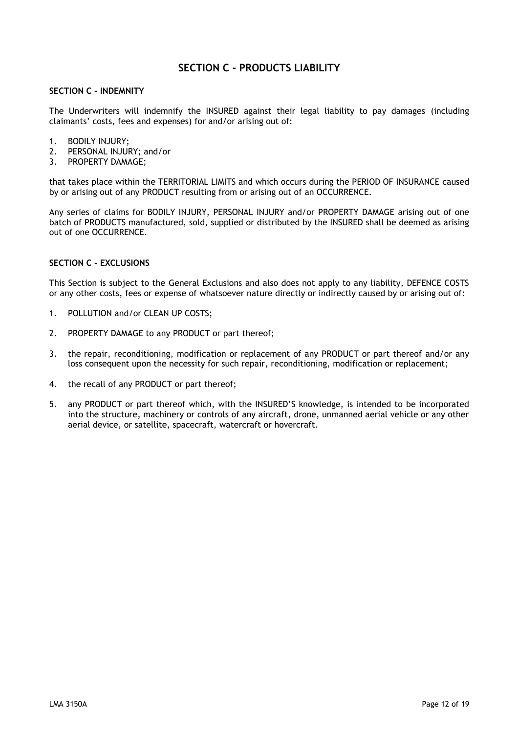## **SECTION C - PRODUCTS LIABILITY**

#### **SECTION C - INDEMNITY**

The Underwriters will indemnify the INSURED against their legal liability to pay damages (including claimants' costs, fees and expenses) for and/or arising out of:

- 1. BODILY INJURY;
- 2. PERSONAL INJURY; and/or
- 3. PROPERTY DAMAGE;

that takes place within the TERRITORIAL LIMITS and which occurs during the PERIOD OF INSURANCE caused by or arising out of any PRODUCT resulting from or arising out of an OCCURRENCE.

Any series of claims for BODILY INJURY, PERSONAL INJURY and/or PROPERTY DAMAGE arising out of one batch of PRODUCTS manufactured, sold, supplied or distributed by the INSURED shall be deemed as arising out of one OCCURRENCE.

#### **SECTION C - EXCLUSIONS**

This Section is subject to the General Exclusions and also does not apply to any liability, DEFENCE COSTS or any other costs, fees or expense of whatsoever nature directly or indirectly caused by or arising out of:

- 1. POLLUTION and/or CLEAN UP COSTS;
- 2. PROPERTY DAMAGE to any PRODUCT or part thereof;
- 3. the repair, reconditioning, modification or replacement of any PRODUCT or part thereof and/or any loss consequent upon the necessity for such repair, reconditioning, modification or replacement;
- 4. the recall of any PRODUCT or part thereof;
- 5. any PRODUCT or part thereof which, with the INSURED'S knowledge, is intended to be incorporated into the structure, machinery or controls of any aircraft, drone, unmanned aerial vehicle or any other aerial device, or satellite, spacecraft, watercraft or hovercraft.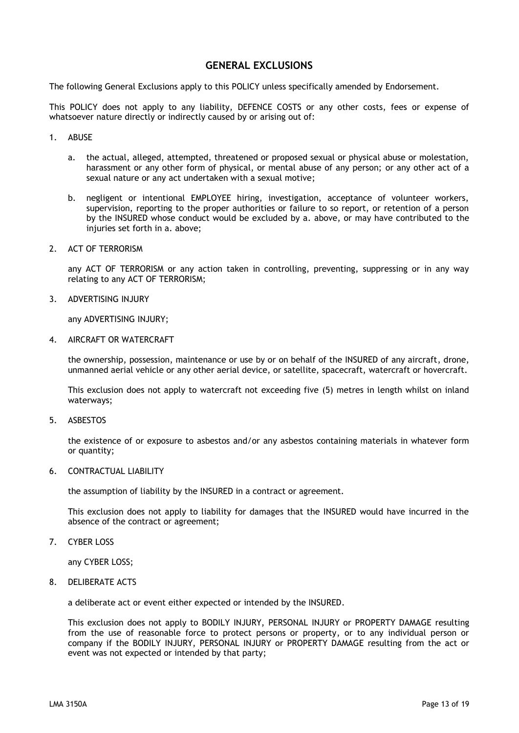## **GENERAL EXCLUSIONS**

The following General Exclusions apply to this POLICY unless specifically amended by Endorsement.

This POLICY does not apply to any liability, DEFENCE COSTS or any other costs, fees or expense of whatsoever nature directly or indirectly caused by or arising out of:

- 1. ABUSE
	- a. the actual, alleged, attempted, threatened or proposed sexual or physical abuse or molestation, harassment or any other form of physical, or mental abuse of any person; or any other act of a sexual nature or any act undertaken with a sexual motive;
	- b. negligent or intentional EMPLOYEE hiring, investigation, acceptance of volunteer workers, supervision, reporting to the proper authorities or failure to so report, or retention of a person by the INSURED whose conduct would be excluded by a. above, or may have contributed to the injuries set forth in a. above;
- 2. ACT OF TERRORISM

any ACT OF TERRORISM or any action taken in controlling, preventing, suppressing or in any way relating to any ACT OF TERRORISM;

3. ADVERTISING INJURY

any ADVERTISING INJURY;

4. AIRCRAFT OR WATERCRAFT

the ownership, possession, maintenance or use by or on behalf of the INSURED of any aircraft, drone, unmanned aerial vehicle or any other aerial device, or satellite, spacecraft, watercraft or hovercraft.

This exclusion does not apply to watercraft not exceeding five (5) metres in length whilst on inland waterways;

5. ASBESTOS

the existence of or exposure to asbestos and/or any asbestos containing materials in whatever form or quantity;

6. CONTRACTUAL LIABILITY

the assumption of liability by the INSURED in a contract or agreement.

This exclusion does not apply to liability for damages that the INSURED would have incurred in the absence of the contract or agreement;

7. CYBER LOSS

any CYBER LOSS;

8. DELIBERATE ACTS

a deliberate act or event either expected or intended by the INSURED.

This exclusion does not apply to BODILY INJURY, PERSONAL INJURY or PROPERTY DAMAGE resulting from the use of reasonable force to protect persons or property, or to any individual person or company if the BODILY INJURY, PERSONAL INJURY or PROPERTY DAMAGE resulting from the act or event was not expected or intended by that party;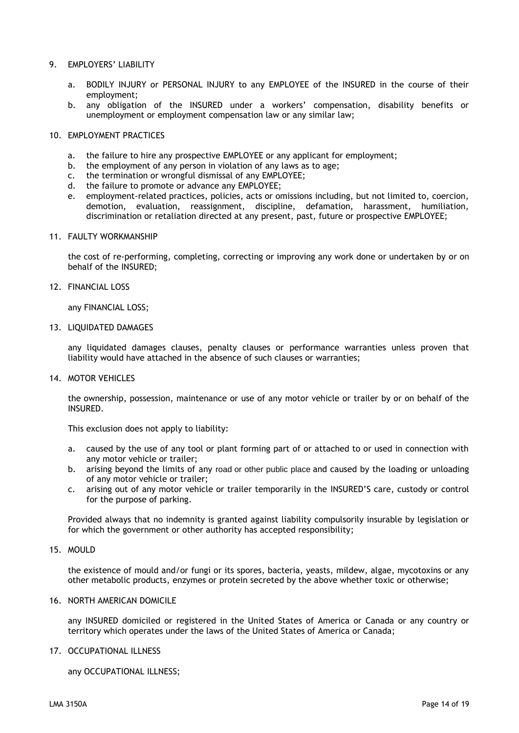#### 9. EMPLOYERS' LIABILITY

- a. BODILY INJURY or PERSONAL INJURY to any EMPLOYEE of the INSURED in the course of their employment;
- b. any obligation of the INSURED under a workers' compensation, disability benefits or unemployment or employment compensation law or any similar law;

#### 10. EMPLOYMENT PRACTICES

- a. the failure to hire any prospective EMPLOYEE or any applicant for employment;
- b. the employment of any person in violation of any laws as to age;
- c. the termination or wrongful dismissal of any EMPLOYEE;
- d. the failure to promote or advance any EMPLOYEE;
- e. employment-related practices, policies, acts or omissions including, but not limited to, coercion, demotion, evaluation, reassignment, discipline, defamation, harassment, humiliation, discrimination or retaliation directed at any present, past, future or prospective EMPLOYEE;

#### 11. FAULTY WORKMANSHIP

the cost of re-performing, completing, correcting or improving any work done or undertaken by or on behalf of the INSURED;

#### 12. FINANCIAL LOSS

any FINANCIAL LOSS;

13. LIQUIDATED DAMAGES

any liquidated damages clauses, penalty clauses or performance warranties unless proven that liability would have attached in the absence of such clauses or warranties;

#### 14. MOTOR VEHICLES

the ownership, possession, maintenance or use of any motor vehicle or trailer by or on behalf of the INSURED.

This exclusion does not apply to liability:

- a. caused by the use of any tool or plant forming part of or attached to or used in connection with any motor vehicle or trailer;
- b. arising beyond the limits of any road or other public place and caused by the loading or unloading of any motor vehicle or trailer;
- c. arising out of any motor vehicle or trailer temporarily in the INSURED'S care, custody or control for the purpose of parking.

Provided always that no indemnity is granted against liability compulsorily insurable by legislation or for which the government or other authority has accepted responsibility;

### 15. MOULD

the existence of mould and/or fungi or its spores, bacteria, yeasts, mildew, algae, mycotoxins or any other metabolic products, enzymes or protein secreted by the above whether toxic or otherwise;

#### 16. NORTH AMERICAN DOMICILE

any INSURED domiciled or registered in the United States of America or Canada or any country or territory which operates under the laws of the United States of America or Canada;

#### 17. OCCUPATIONAL ILLNESS

any OCCUPATIONAL ILLNESS;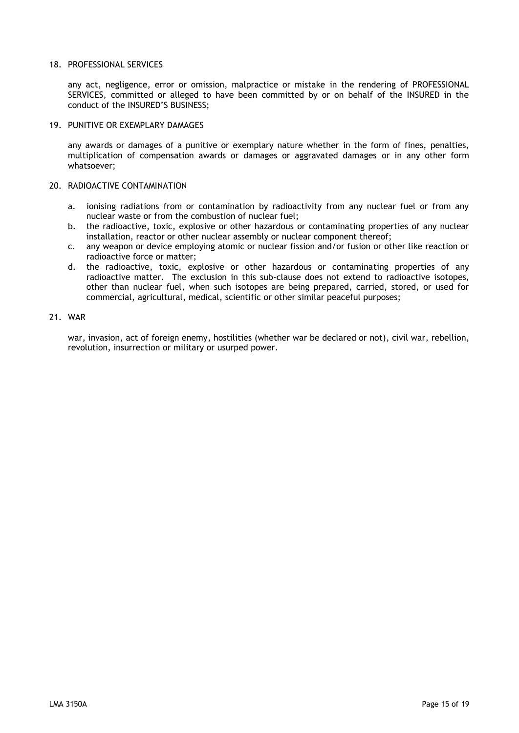#### 18. PROFESSIONAL SERVICES

any act, negligence, error or omission, malpractice or mistake in the rendering of PROFESSIONAL SERVICES, committed or alleged to have been committed by or on behalf of the INSURED in the conduct of the INSURED'S BUSINESS;

#### 19. PUNITIVE OR EXEMPLARY DAMAGES

any awards or damages of a punitive or exemplary nature whether in the form of fines, penalties, multiplication of compensation awards or damages or aggravated damages or in any other form whatsoever;

#### 20. RADIOACTIVE CONTAMINATION

- a. ionising radiations from or contamination by radioactivity from any nuclear fuel or from any nuclear waste or from the combustion of nuclear fuel;
- b. the radioactive, toxic, explosive or other hazardous or contaminating properties of any nuclear installation, reactor or other nuclear assembly or nuclear component thereof;
- c. any weapon or device employing atomic or nuclear fission and/or fusion or other like reaction or radioactive force or matter;
- d. the radioactive, toxic, explosive or other hazardous or contaminating properties of any radioactive matter. The exclusion in this sub-clause does not extend to radioactive isotopes, other than nuclear fuel, when such isotopes are being prepared, carried, stored, or used for commercial, agricultural, medical, scientific or other similar peaceful purposes;

#### 21. WAR

war, invasion, act of foreign enemy, hostilities (whether war be declared or not), civil war, rebellion, revolution, insurrection or military or usurped power.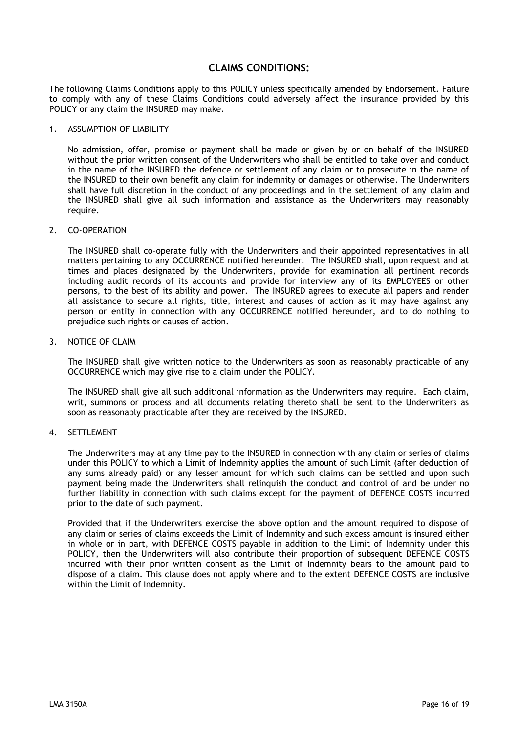## **CLAIMS CONDITIONS:**

The following Claims Conditions apply to this POLICY unless specifically amended by Endorsement. Failure to comply with any of these Claims Conditions could adversely affect the insurance provided by this POLICY or any claim the INSURED may make.

#### 1. ASSUMPTION OF LIABILITY

No admission, offer, promise or payment shall be made or given by or on behalf of the INSURED without the prior written consent of the Underwriters who shall be entitled to take over and conduct in the name of the INSURED the defence or settlement of any claim or to prosecute in the name of the INSURED to their own benefit any claim for indemnity or damages or otherwise. The Underwriters shall have full discretion in the conduct of any proceedings and in the settlement of any claim and the INSURED shall give all such information and assistance as the Underwriters may reasonably require.

#### 2. CO-OPERATION

The INSURED shall co-operate fully with the Underwriters and their appointed representatives in all matters pertaining to any OCCURRENCE notified hereunder. The INSURED shall, upon request and at times and places designated by the Underwriters, provide for examination all pertinent records including audit records of its accounts and provide for interview any of its EMPLOYEES or other persons, to the best of its ability and power. The INSURED agrees to execute all papers and render all assistance to secure all rights, title, interest and causes of action as it may have against any person or entity in connection with any OCCURRENCE notified hereunder, and to do nothing to prejudice such rights or causes of action.

#### 3. NOTICE OF CLAIM

The INSURED shall give written notice to the Underwriters as soon as reasonably practicable of any OCCURRENCE which may give rise to a claim under the POLICY.

The INSURED shall give all such additional information as the Underwriters may require. Each claim, writ, summons or process and all documents relating thereto shall be sent to the Underwriters as soon as reasonably practicable after they are received by the INSURED.

#### 4. SETTLEMENT

The Underwriters may at any time pay to the INSURED in connection with any claim or series of claims under this POLICY to which a Limit of Indemnity applies the amount of such Limit (after deduction of any sums already paid) or any lesser amount for which such claims can be settled and upon such payment being made the Underwriters shall relinquish the conduct and control of and be under no further liability in connection with such claims except for the payment of DEFENCE COSTS incurred prior to the date of such payment.

Provided that if the Underwriters exercise the above option and the amount required to dispose of any claim or series of claims exceeds the Limit of Indemnity and such excess amount is insured either in whole or in part, with DEFENCE COSTS payable in addition to the Limit of Indemnity under this POLICY, then the Underwriters will also contribute their proportion of subsequent DEFENCE COSTS incurred with their prior written consent as the Limit of Indemnity bears to the amount paid to dispose of a claim. This clause does not apply where and to the extent DEFENCE COSTS are inclusive within the Limit of Indemnity.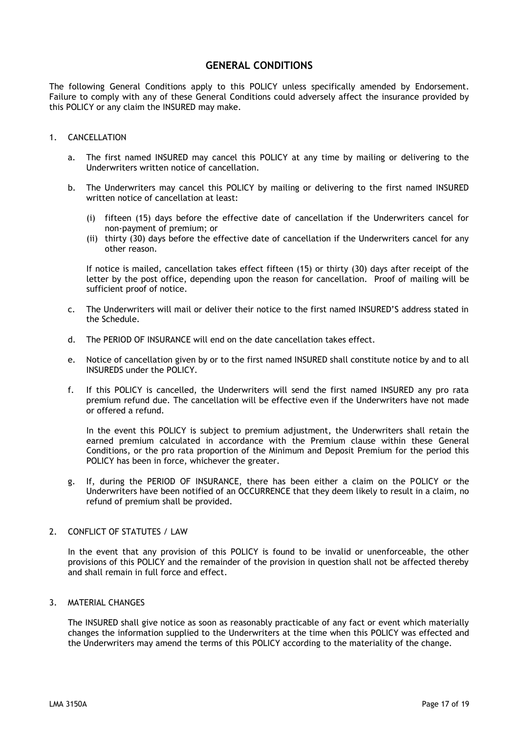## **GENERAL CONDITIONS**

The following General Conditions apply to this POLICY unless specifically amended by Endorsement. Failure to comply with any of these General Conditions could adversely affect the insurance provided by this POLICY or any claim the INSURED may make.

#### 1. CANCELLATION

- a. The first named INSURED may cancel this POLICY at any time by mailing or delivering to the Underwriters written notice of cancellation.
- b. The Underwriters may cancel this POLICY by mailing or delivering to the first named INSURED written notice of cancellation at least:
	- (i) fifteen (15) days before the effective date of cancellation if the Underwriters cancel for non-payment of premium; or
	- (ii) thirty (30) days before the effective date of cancellation if the Underwriters cancel for any other reason.

If notice is mailed, cancellation takes effect fifteen (15) or thirty (30) days after receipt of the letter by the post office, depending upon the reason for cancellation. Proof of mailing will be sufficient proof of notice.

- c. The Underwriters will mail or deliver their notice to the first named INSURED'S address stated in the Schedule.
- d. The PERIOD OF INSURANCE will end on the date cancellation takes effect.
- e. Notice of cancellation given by or to the first named INSURED shall constitute notice by and to all INSUREDS under the POLICY.
- f. If this POLICY is cancelled, the Underwriters will send the first named INSURED any pro rata premium refund due. The cancellation will be effective even if the Underwriters have not made or offered a refund.

In the event this POLICY is subject to premium adjustment, the Underwriters shall retain the earned premium calculated in accordance with the Premium clause within these General Conditions, or the pro rata proportion of the Minimum and Deposit Premium for the period this POLICY has been in force, whichever the greater.

g. If, during the PERIOD OF INSURANCE, there has been either a claim on the POLICY or the Underwriters have been notified of an OCCURRENCE that they deem likely to result in a claim, no refund of premium shall be provided.

#### 2. CONFLICT OF STATUTES / LAW

In the event that any provision of this POLICY is found to be invalid or unenforceable, the other provisions of this POLICY and the remainder of the provision in question shall not be affected thereby and shall remain in full force and effect.

#### 3. MATERIAL CHANGES

The INSURED shall give notice as soon as reasonably practicable of any fact or event which materially changes the information supplied to the Underwriters at the time when this POLICY was effected and the Underwriters may amend the terms of this POLICY according to the materiality of the change.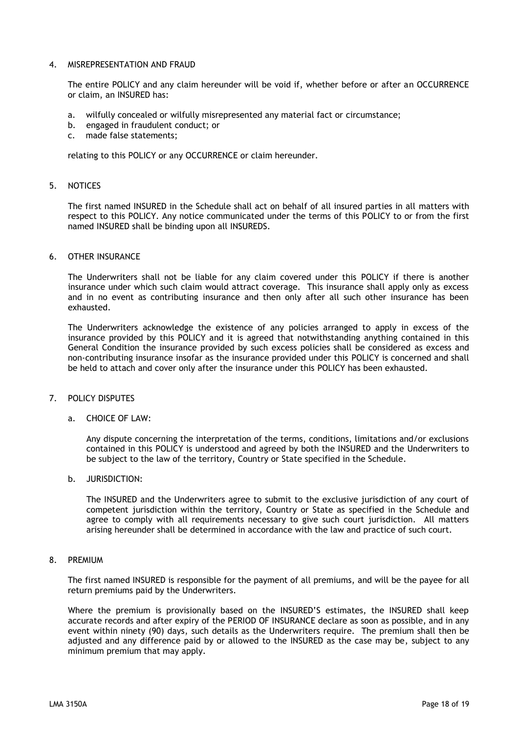#### 4. MISREPRESENTATION AND FRAUD

The entire POLICY and any claim hereunder will be void if, whether before or after an OCCURRENCE or claim, an INSURED has:

- a. wilfully concealed or wilfully misrepresented any material fact or circumstance;
- b. engaged in fraudulent conduct; or c. made false statements:
- made false statements;

relating to this POLICY or any OCCURRENCE or claim hereunder.

#### 5. NOTICES

The first named INSURED in the Schedule shall act on behalf of all insured parties in all matters with respect to this POLICY. Any notice communicated under the terms of this POLICY to or from the first named INSURED shall be binding upon all INSUREDS.

#### 6. OTHER INSURANCE

The Underwriters shall not be liable for any claim covered under this POLICY if there is another insurance under which such claim would attract coverage. This insurance shall apply only as excess and in no event as contributing insurance and then only after all such other insurance has been exhausted.

The Underwriters acknowledge the existence of any policies arranged to apply in excess of the insurance provided by this POLICY and it is agreed that notwithstanding anything contained in this General Condition the insurance provided by such excess policies shall be considered as excess and non-contributing insurance insofar as the insurance provided under this POLICY is concerned and shall be held to attach and cover only after the insurance under this POLICY has been exhausted.

#### 7. POLICY DISPUTES

#### a. CHOICE OF LAW:

Any dispute concerning the interpretation of the terms, conditions, limitations and/or exclusions contained in this POLICY is understood and agreed by both the INSURED and the Underwriters to be subject to the law of the territory, Country or State specified in the Schedule.

b. JURISDICTION:

The INSURED and the Underwriters agree to submit to the exclusive jurisdiction of any court of competent jurisdiction within the territory, Country or State as specified in the Schedule and agree to comply with all requirements necessary to give such court jurisdiction. All matters arising hereunder shall be determined in accordance with the law and practice of such court.

#### 8. PREMIUM

The first named INSURED is responsible for the payment of all premiums, and will be the payee for all return premiums paid by the Underwriters.

Where the premium is provisionally based on the INSURED'S estimates, the INSURED shall keep accurate records and after expiry of the PERIOD OF INSURANCE declare as soon as possible, and in any event within ninety (90) days, such details as the Underwriters require. The premium shall then be adjusted and any difference paid by or allowed to the INSURED as the case may be, subject to any minimum premium that may apply.